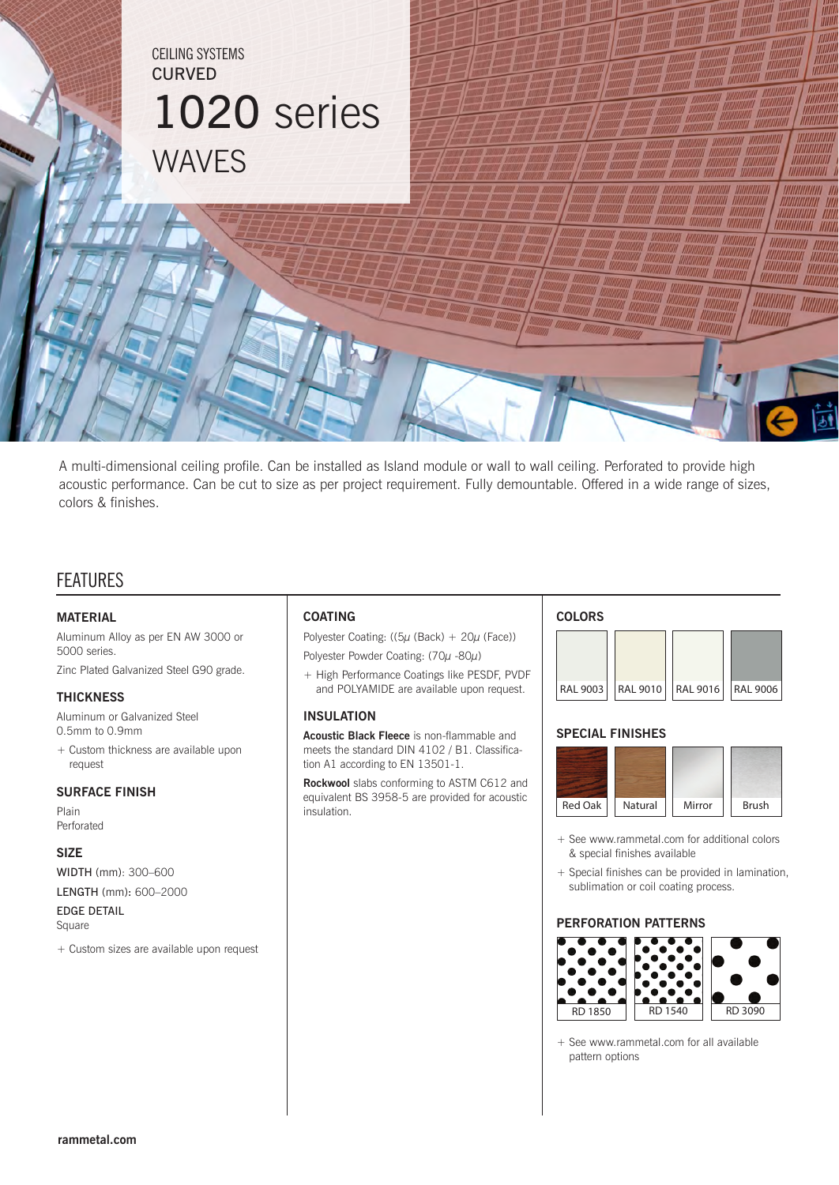

A multi-dimensional ceiling profile. Can be installed as Island module or wall to wall ceiling. Perforated to provide high acoustic performance. Can be cut to size as per project requirement. Fully demountable. Offered in a wide range of sizes, colors & finishes.

# FEATURES

### **MATERIAL**

Aluminum Alloy as per EN AW 3000 or 5000 series. Zinc Plated Galvanized Steel G90 grade.

### **THICKNESS**

Aluminum or Galvanized Steel 0.5mm to 0.9mm

+ Custom thickness are available upon request

### **SURFACE FINISH**

Plain Perforated

#### **SIZE**

WIDTH (mm): 300–600 LENGTH (mm): 600–2000 EDGE DETAIL

Square

+ Custom sizes are available upon request

## **COATING**

Polyester Coating: (( $5\mu$  (Back) +  $20\mu$  (Face)) Polyester Powder Coating: (70µ -80µ)

+ High Performance Coatings like PESDF, PVDF and POLYAMIDE are available upon request.

## **INSULATION**

**Acoustic Black Fleece** is non-flammable and meets the standard DIN 4102 / B1. Classification A1 according to EN 13501-1.

**Rockwool** slabs conforming to ASTM C612 and equivalent BS 3958-5 are provided for acoustic insulation.

#### **COLORS**



### **SPECIAL FINISHES**



- + See www.rammetal.com for additional colors & special finishes available
- + Special finishes can be provided in lamination, sublimation or coil coating process.

### **PERFORATION PATTERNS**



<sup>+</sup> See www.rammetal.com for all available pattern options